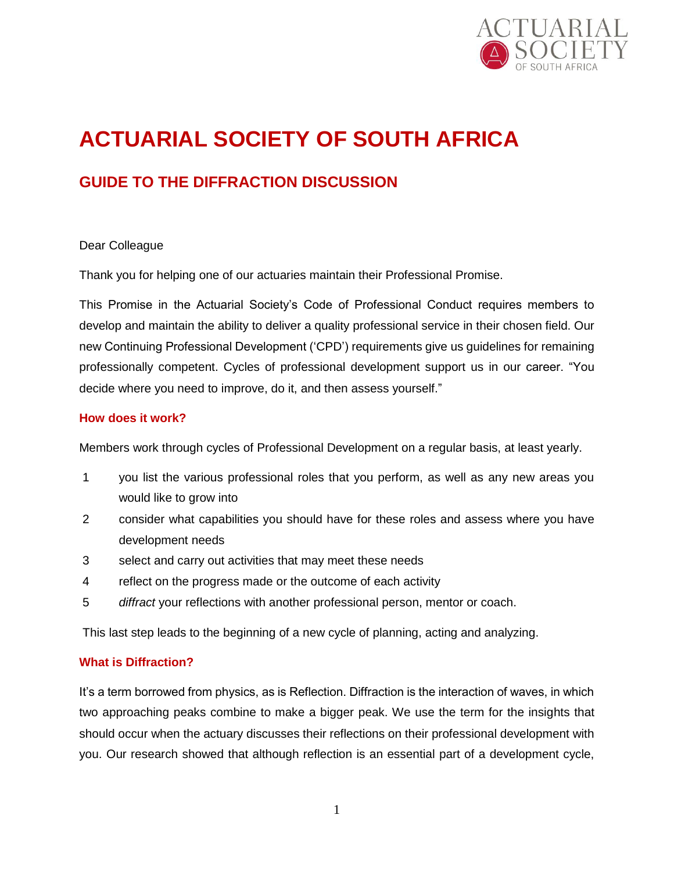

# **ACTUARIAL SOCIETY OF SOUTH AFRICA**

# **GUIDE TO THE DIFFRACTION DISCUSSION**

#### Dear Colleague

Thank you for helping one of our actuaries maintain their Professional Promise.

This Promise in the Actuarial Society's Code of Professional Conduct requires members to develop and maintain the ability to deliver a quality professional service in their chosen field. Our new Continuing Professional Development ('CPD') requirements give us guidelines for remaining professionally competent. Cycles of professional development support us in our career. "You decide where you need to improve, do it, and then assess yourself."

#### **How does it work?**

Members work through cycles of Professional Development on a regular basis, at least yearly.

- 1 you list the various professional roles that you perform, as well as any new areas you would like to grow into
- 2 consider what capabilities you should have for these roles and assess where you have development needs
- 3 select and carry out activities that may meet these needs
- 4 reflect on the progress made or the outcome of each activity
- 5 *diffract* your reflections with another professional person, mentor or coach.

This last step leads to the beginning of a new cycle of planning, acting and analyzing.

#### **What is Diffraction?**

It's a term borrowed from physics, as is Reflection. Diffraction is the interaction of waves, in which two approaching peaks combine to make a bigger peak. We use the term for the insights that should occur when the actuary discusses their reflections on their professional development with you. Our research showed that although reflection is an essential part of a development cycle,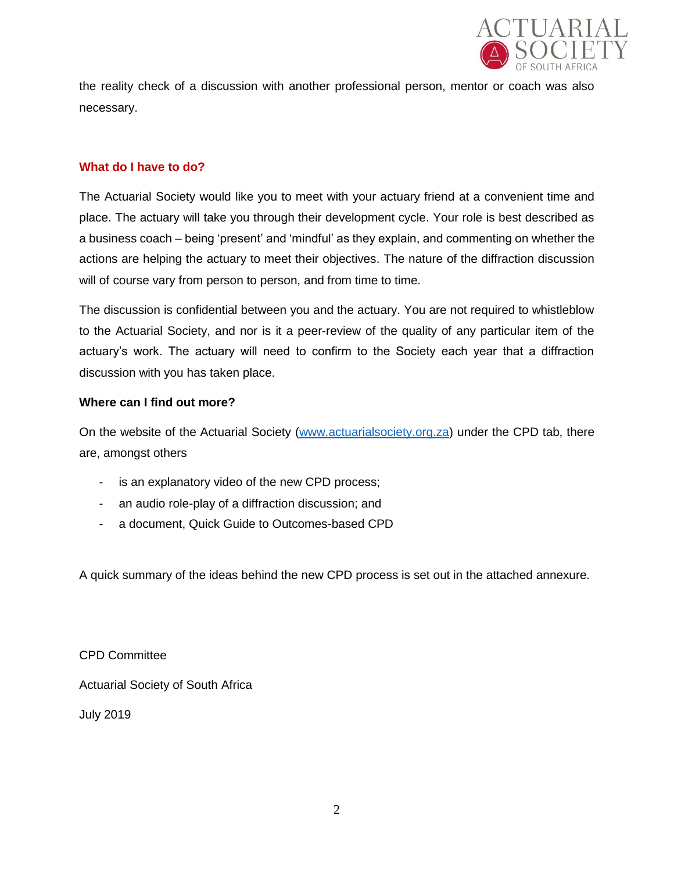

the reality check of a discussion with another professional person, mentor or coach was also necessary.

### **What do I have to do?**

The Actuarial Society would like you to meet with your actuary friend at a convenient time and place. The actuary will take you through their development cycle. Your role is best described as a business coach – being 'present' and 'mindful' as they explain, and commenting on whether the actions are helping the actuary to meet their objectives. The nature of the diffraction discussion will of course vary from person to person, and from time to time.

The discussion is confidential between you and the actuary. You are not required to whistleblow to the Actuarial Society, and nor is it a peer-review of the quality of any particular item of the actuary's work. The actuary will need to confirm to the Society each year that a diffraction discussion with you has taken place.

#### **Where can I find out more?**

On the website of the Actuarial Society [\(www.actuarialsociety.org.za\)](http://www.actuarialsociety.org.za/) under the CPD tab, there are, amongst others

- is an explanatory video of the new CPD process;
- an audio role-play of a diffraction discussion; and
- a document, Quick Guide to Outcomes-based CPD

A quick summary of the ideas behind the new CPD process is set out in the attached annexure.

CPD Committee Actuarial Society of South Africa

July 2019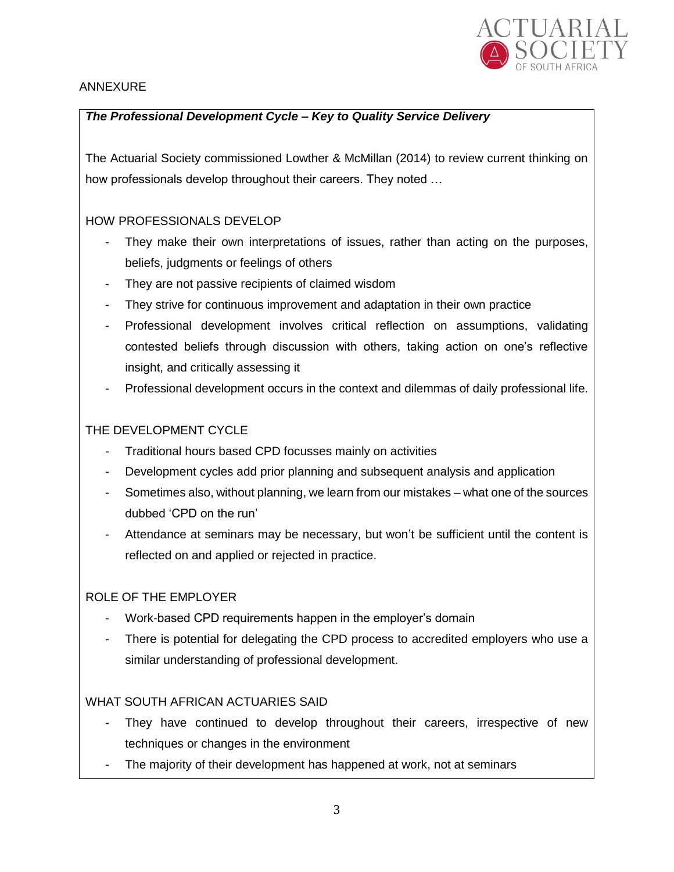

# ANNEXURE

# *The Professional Development Cycle – Key to Quality Service Delivery*

The Actuarial Society commissioned Lowther & McMillan (2014) to review current thinking on how professionals develop throughout their careers. They noted …

# HOW PROFESSIONALS DEVELOP

- They make their own interpretations of issues, rather than acting on the purposes, beliefs, judgments or feelings of others
- They are not passive recipients of claimed wisdom
- They strive for continuous improvement and adaptation in their own practice
- Professional development involves critical reflection on assumptions, validating contested beliefs through discussion with others, taking action on one's reflective insight, and critically assessing it
- Professional development occurs in the context and dilemmas of daily professional life.

## THE DEVELOPMENT CYCLE

- Traditional hours based CPD focusses mainly on activities
- Development cycles add prior planning and subsequent analysis and application
- Sometimes also, without planning, we learn from our mistakes what one of the sources dubbed 'CPD on the run'
- Attendance at seminars may be necessary, but won't be sufficient until the content is reflected on and applied or rejected in practice.

#### ROLE OF THE EMPLOYER

- Work-based CPD requirements happen in the employer's domain
- There is potential for delegating the CPD process to accredited employers who use a similar understanding of professional development.

# WHAT SOUTH AFRICAN ACTUARIES SAID

- They have continued to develop throughout their careers, irrespective of new techniques or changes in the environment
- The majority of their development has happened at work, not at seminars